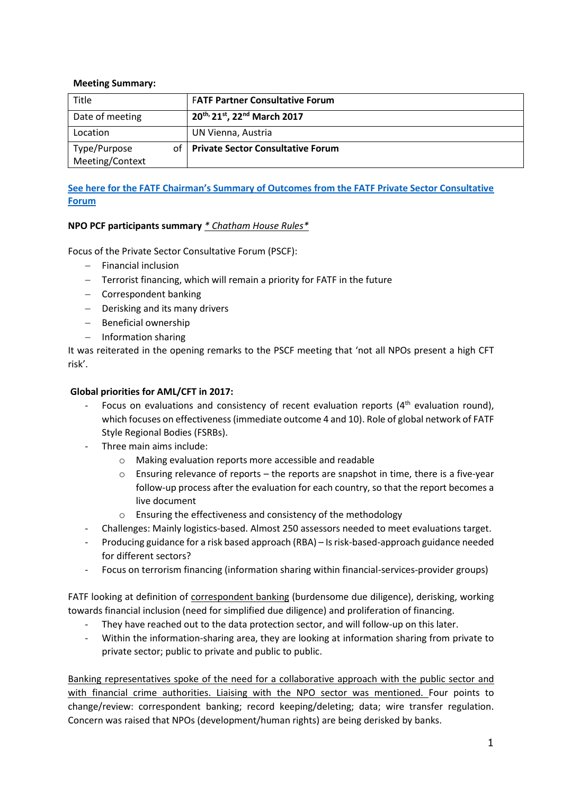#### **Meeting Summary:**

| Title                                 | <b>FATF Partner Consultative Forum</b>   |
|---------------------------------------|------------------------------------------|
| Date of meeting                       | 20th, 21st, 22nd March 2017              |
| Location                              | UN Vienna, Austria                       |
| Type/Purpose<br>οf<br>Meeting/Context | <b>Private Sector Consultative Forum</b> |

### **See here for the FATF [Chairman's Summary of Outcomes from the FATF Private Sector Consultative](http://www.fatf-gafi.org/publications/fatfgeneral/documents/private-sector-mar-2017.html)  [Forum](http://www.fatf-gafi.org/publications/fatfgeneral/documents/private-sector-mar-2017.html)**

#### **NPO PCF participants summary** *\* Chatham House Rules\**

Focus of the Private Sector Consultative Forum (PSCF):

- $-$  Financial inclusion
- $-$  Terrorist financing, which will remain a priority for FATF in the future
- Correspondent banking
- Derisking and its many drivers
- Beneficial ownership
- $-$  Information sharing

It was reiterated in the opening remarks to the PSCF meeting that 'not all NPOs present a high CFT risk'.

#### **Global priorities for AML/CFT in 2017:**

- Focus on evaluations and consistency of recent evaluation reports  $(4<sup>th</sup>$  evaluation round), which focuses on effectiveness (immediate outcome 4 and 10). Role of global network of FATF Style Regional Bodies (FSRBs).
- Three main aims include:
	- o Making evaluation reports more accessible and readable
	- $\circ$  Ensuring relevance of reports the reports are snapshot in time, there is a five-year follow-up process after the evaluation for each country, so that the report becomes a live document
	- o Ensuring the effectiveness and consistency of the methodology
- Challenges: Mainly logistics-based. Almost 250 assessors needed to meet evaluations target.
- Producing guidance for a risk based approach (RBA) Is risk-based-approach guidance needed for different sectors?
- Focus on terrorism financing (information sharing within financial-services-provider groups)

FATF looking at definition of correspondent banking (burdensome due diligence), derisking, working towards financial inclusion (need for simplified due diligence) and proliferation of financing.

- They have reached out to the data protection sector, and will follow-up on this later.
- Within the information-sharing area, they are looking at information sharing from private to private sector; public to private and public to public.

Banking representatives spoke of the need for a collaborative approach with the public sector and with financial crime authorities. Liaising with the NPO sector was mentioned. Four points to change/review: correspondent banking; record keeping/deleting; data; wire transfer regulation. Concern was raised that NPOs (development/human rights) are being derisked by banks.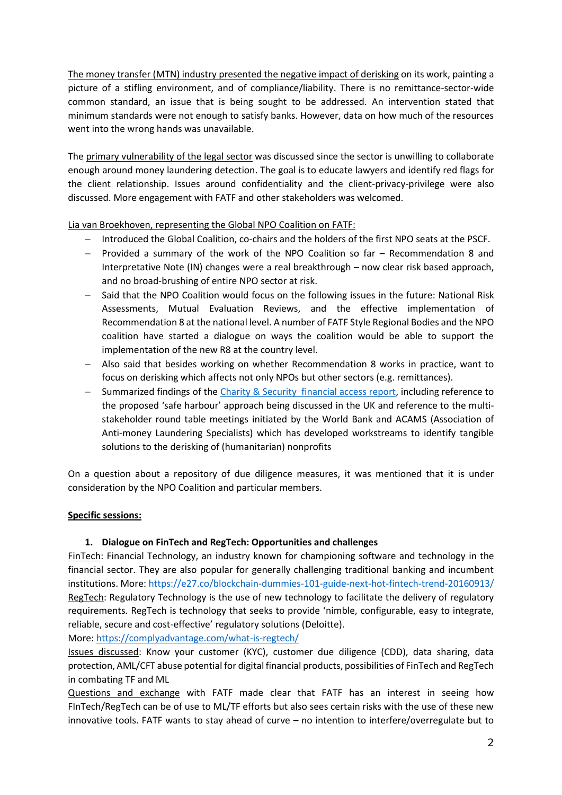The money transfer (MTN) industry presented the negative impact of derisking on its work, painting a picture of a stifling environment, and of compliance/liability. There is no remittance-sector-wide common standard, an issue that is being sought to be addressed. An intervention stated that minimum standards were not enough to satisfy banks. However, data on how much of the resources went into the wrong hands was unavailable.

The primary vulnerability of the legal sector was discussed since the sector is unwilling to collaborate enough around money laundering detection. The goal is to educate lawyers and identify red flags for the client relationship. Issues around confidentiality and the client-privacy-privilege were also discussed. More engagement with FATF and other stakeholders was welcomed.

Lia van Broekhoven, representing the Global NPO Coalition on FATF:

- Introduced the Global Coalition, co-chairs and the holders of the first NPO seats at the PSCF.
- $-$  Provided a summary of the work of the NPO Coalition so far  $-$  Recommendation 8 and Interpretative Note (IN) changes were a real breakthrough – now clear risk based approach, and no broad-brushing of entire NPO sector at risk.
- Said that the NPO Coalition would focus on the following issues in the future: National Risk Assessments, Mutual Evaluation Reviews, and the effective implementation of Recommendation 8 at the national level. A number of FATF Style Regional Bodies and the NPO coalition have started a dialogue on ways the coalition would be able to support the implementation of the new R8 at the country level.
- Also said that besides working on whether Recommendation 8 works in practice, want to focus on derisking which affects not only NPOs but other sectors (e.g. remittances).
- Summarized findings of the Charity & [Security financial access report,](http://www.charityandsecurity.org/FinAccessReport) including reference to the proposed 'safe harbour' approach being discussed in the UK and reference to the multistakeholder round table meetings initiated by the World Bank and ACAMS (Association of Anti-money Laundering Specialists) which has developed workstreams to identify tangible solutions to the derisking of (humanitarian) nonprofits

On a question about a repository of due diligence measures, it was mentioned that it is under consideration by the NPO Coalition and particular members.

### **Specific sessions:**

### **1. Dialogue on FinTech and RegTech: Opportunities and challenges**

FinTech: Financial Technology, an industry known for championing software and technology in the financial sector. They are also popular for generally challenging traditional banking and incumbent institutions. More[: https://e27.co/blockchain-dummies-101-guide-next-hot-fintech-trend-20160913/](https://e27.co/blockchain-dummies-101-guide-next-hot-fintech-trend-20160913/) RegTech: Regulatory Technology is the use of new technology to facilitate the delivery of regulatory requirements. RegTech is technology that seeks to provide 'nimble, configurable, easy to integrate, reliable, secure and cost-effective' regulatory solutions (Deloitte).

More:<https://complyadvantage.com/what-is-regtech/>

Issues discussed: Know your customer (KYC), customer due diligence (CDD), data sharing, data protection, AML/CFT abuse potential for digital financial products, possibilities of FinTech and RegTech in combating TF and ML

Questions and exchange with FATF made clear that FATF has an interest in seeing how FInTech/RegTech can be of use to ML/TF efforts but also sees certain risks with the use of these new innovative tools. FATF wants to stay ahead of curve – no intention to interfere/overregulate but to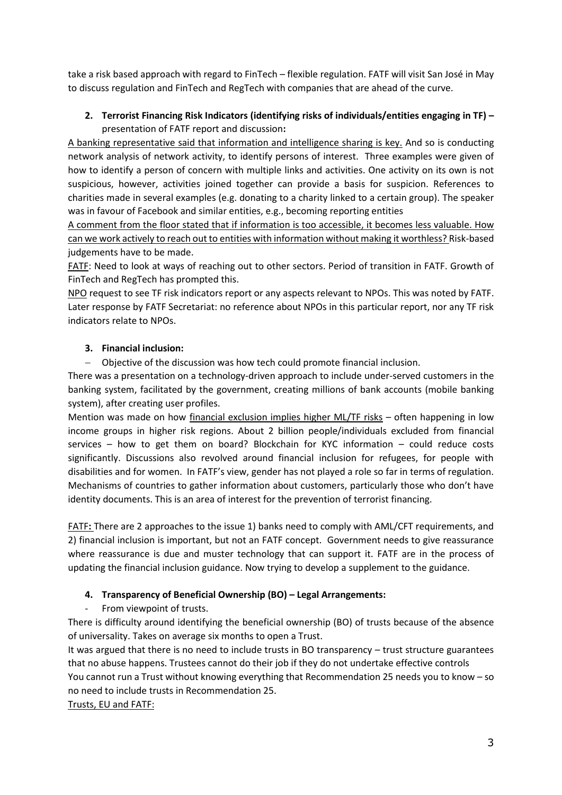take a risk based approach with regard to FinTech – flexible regulation. FATF will visit San José in May to discuss regulation and FinTech and RegTech with companies that are ahead of the curve.

# **2. Terrorist Financing Risk Indicators (identifying risks of individuals/entities engaging in TF) –** presentation of FATF report and discussion**:**

A banking representative said that information and intelligence sharing is key. And so is conducting network analysis of network activity, to identify persons of interest. Three examples were given of how to identify a person of concern with multiple links and activities. One activity on its own is not suspicious, however, activities joined together can provide a basis for suspicion. References to charities made in several examples (e.g. donating to a charity linked to a certain group). The speaker was in favour of Facebook and similar entities, e.g., becoming reporting entities

A comment from the floor stated that if information is too accessible, it becomes less valuable. How can we work actively to reach out to entities with information without making it worthless? Risk-based judgements have to be made.

FATF: Need to look at ways of reaching out to other sectors. Period of transition in FATF. Growth of FinTech and RegTech has prompted this.

NPO request to see TF risk indicators report or any aspects relevant to NPOs. This was noted by FATF. Later response by FATF Secretariat: no reference about NPOs in this particular report, nor any TF risk indicators relate to NPOs.

## **3. Financial inclusion:**

Objective of the discussion was how tech could promote financial inclusion.

There was a presentation on a technology-driven approach to include under-served customers in the banking system, facilitated by the government, creating millions of bank accounts (mobile banking system), after creating user profiles.

Mention was made on how financial exclusion implies higher ML/TF risks – often happening in low income groups in higher risk regions. About 2 billion people/individuals excluded from financial services – how to get them on board? Blockchain for KYC information – could reduce costs significantly. Discussions also revolved around financial inclusion for refugees, for people with disabilities and for women.In FATF's view, gender has not played a role so far in terms of regulation. Mechanisms of countries to gather information about customers, particularly those who don't have identity documents. This is an area of interest for the prevention of terrorist financing.

FATF**:** There are 2 approaches to the issue 1) banks need to comply with AML/CFT requirements, and 2) financial inclusion is important, but not an FATF concept. Government needs to give reassurance where reassurance is due and muster technology that can support it. FATF are in the process of updating the financial inclusion guidance. Now trying to develop a supplement to the guidance.

# **4. Transparency of Beneficial Ownership (BO) – Legal Arrangements:**

From viewpoint of trusts.

There is difficulty around identifying the beneficial ownership (BO) of trusts because of the absence of universality. Takes on average six months to open a Trust.

It was argued that there is no need to include trusts in BO transparency – trust structure guarantees that no abuse happens. Trustees cannot do their job if they do not undertake effective controls You cannot run a Trust without knowing everything that Recommendation 25 needs you to know – so no need to include trusts in Recommendation 25.

Trusts, EU and FATF: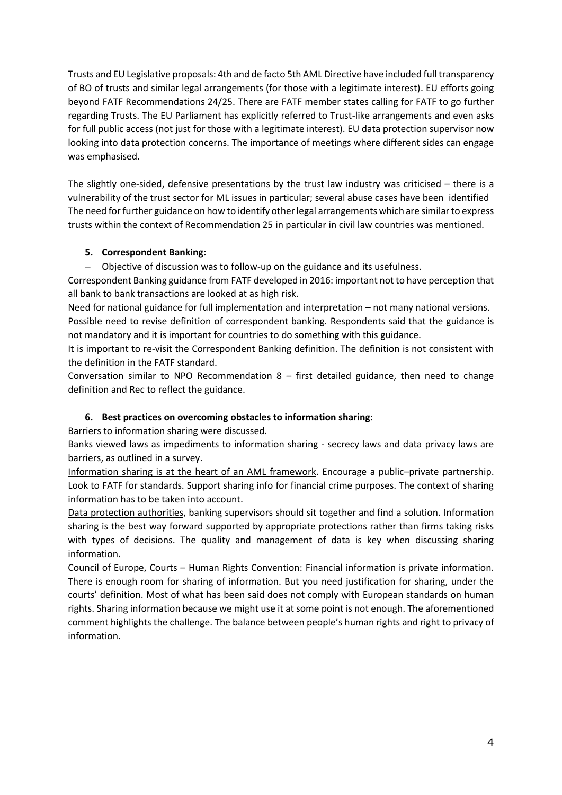Trusts and EU Legislative proposals: 4th and de facto 5th AML Directive have included full transparency of BO of trusts and similar legal arrangements (for those with a legitimate interest). EU efforts going beyond FATF Recommendations 24/25. There are FATF member states calling for FATF to go further regarding Trusts. The EU Parliament has explicitly referred to Trust-like arrangements and even asks for full public access (not just for those with a legitimate interest). EU data protection supervisor now looking into data protection concerns. The importance of meetings where different sides can engage was emphasised.

The slightly one-sided, defensive presentations by the trust law industry was criticised – there is a vulnerability of the trust sector for ML issues in particular; several abuse cases have been identified The need for further guidance on how to identify other legal arrangements which are similar to express trusts within the context of Recommendation 25 in particular in civil law countries was mentioned.

### **5. Correspondent Banking:**

Objective of discussion was to follow-up on the guidance and its usefulness.

Correspondent Banking guidance from FATF developed in 2016: important not to have perception that all bank to bank transactions are looked at as high risk.

Need for national guidance for full implementation and interpretation – not many national versions. Possible need to revise definition of correspondent banking. Respondents said that the guidance is not mandatory and it is important for countries to do something with this guidance.

It is important to re-visit the Correspondent Banking definition. The definition is not consistent with the definition in the FATF standard.

Conversation similar to NPO Recommendation  $8$  – first detailed guidance, then need to change definition and Rec to reflect the guidance.

### **6. Best practices on overcoming obstacles to information sharing:**

Barriers to information sharing were discussed.

Banks viewed laws as impediments to information sharing - secrecy laws and data privacy laws are barriers, as outlined in a survey.

Information sharing is at the heart of an AML framework. Encourage a public–private partnership. Look to FATF for standards. Support sharing info for financial crime purposes. The context of sharing information has to be taken into account.

Data protection authorities, banking supervisors should sit together and find a solution. Information sharing is the best way forward supported by appropriate protections rather than firms taking risks with types of decisions. The quality and management of data is key when discussing sharing information.

Council of Europe, Courts – Human Rights Convention: Financial information is private information. There is enough room for sharing of information. But you need justification for sharing, under the courts' definition. Most of what has been said does not comply with European standards on human rights. Sharing information because we might use it at some point is not enough. The aforementioned comment highlights the challenge. The balance between people's human rights and right to privacy of information.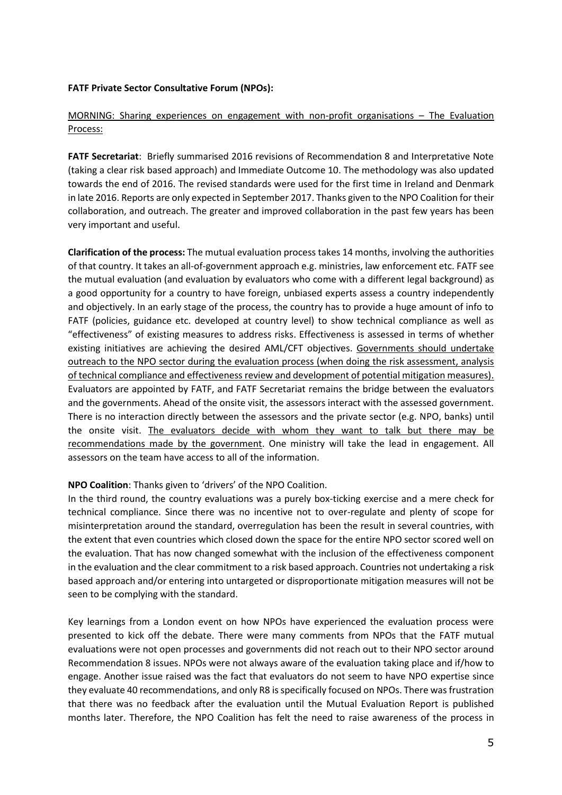#### **FATF Private Sector Consultative Forum (NPOs):**

### MORNING: Sharing experiences on engagement with non-profit organisations – The Evaluation Process:

**FATF Secretariat**: Briefly summarised 2016 revisions of Recommendation 8 and Interpretative Note (taking a clear risk based approach) and Immediate Outcome 10. The methodology was also updated towards the end of 2016. The revised standards were used for the first time in Ireland and Denmark in late 2016. Reports are only expected in September 2017. Thanks given to the NPO Coalition for their collaboration, and outreach. The greater and improved collaboration in the past few years has been very important and useful.

**Clarification of the process:** The mutual evaluation process takes 14 months, involving the authorities of that country. It takes an all-of-government approach e.g. ministries, law enforcement etc. FATF see the mutual evaluation (and evaluation by evaluators who come with a different legal background) as a good opportunity for a country to have foreign, unbiased experts assess a country independently and objectively. In an early stage of the process, the country has to provide a huge amount of info to FATF (policies, guidance etc. developed at country level) to show technical compliance as well as "effectiveness" of existing measures to address risks. Effectiveness is assessed in terms of whether existing initiatives are achieving the desired AML/CFT objectives. Governments should undertake outreach to the NPO sector during the evaluation process (when doing the risk assessment, analysis of technical compliance and effectiveness review and development of potential mitigation measures). Evaluators are appointed by FATF, and FATF Secretariat remains the bridge between the evaluators and the governments. Ahead of the onsite visit, the assessors interact with the assessed government. There is no interaction directly between the assessors and the private sector (e.g. NPO, banks) until the onsite visit. The evaluators decide with whom they want to talk but there may be recommendations made by the government. One ministry will take the lead in engagement. All assessors on the team have access to all of the information.

#### **NPO Coalition**: Thanks given to 'drivers' of the NPO Coalition.

In the third round, the country evaluations was a purely box-ticking exercise and a mere check for technical compliance. Since there was no incentive not to over-regulate and plenty of scope for misinterpretation around the standard, overregulation has been the result in several countries, with the extent that even countries which closed down the space for the entire NPO sector scored well on the evaluation. That has now changed somewhat with the inclusion of the effectiveness component in the evaluation and the clear commitment to a risk based approach. Countries not undertaking a risk based approach and/or entering into untargeted or disproportionate mitigation measures will not be seen to be complying with the standard.

Key learnings from a London event on how NPOs have experienced the evaluation process were presented to kick off the debate. There were many comments from NPOs that the FATF mutual evaluations were not open processes and governments did not reach out to their NPO sector around Recommendation 8 issues. NPOs were not always aware of the evaluation taking place and if/how to engage. Another issue raised was the fact that evaluators do not seem to have NPO expertise since they evaluate 40 recommendations, and only R8 is specifically focused on NPOs. There was frustration that there was no feedback after the evaluation until the Mutual Evaluation Report is published months later. Therefore, the NPO Coalition has felt the need to raise awareness of the process in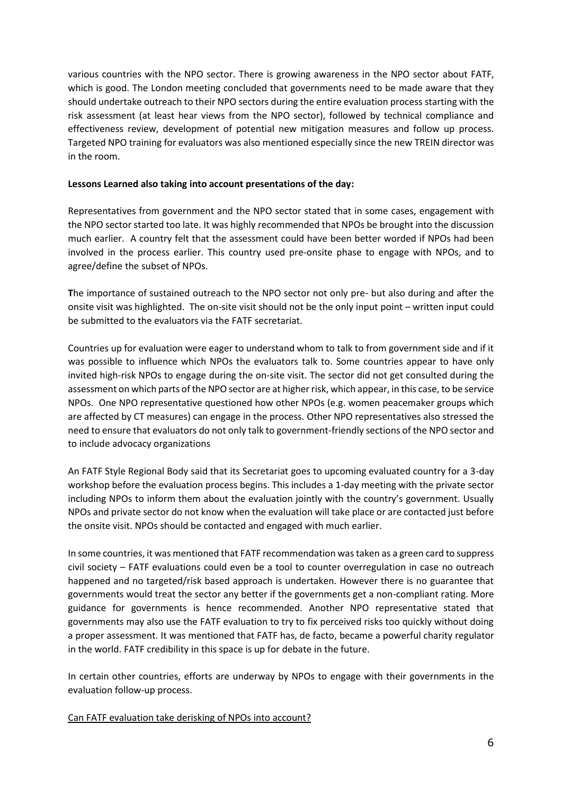various countries with the NPO sector. There is growing awareness in the NPO sector about FATF, which is good. The London meeting concluded that governments need to be made aware that they should undertake outreach to their NPO sectors during the entire evaluation process starting with the risk assessment (at least hear views from the NPO sector), followed by technical compliance and effectiveness review, development of potential new mitigation measures and follow up process. Targeted NPO training for evaluators was also mentioned especially since the new TREIN director was in the room.

#### **Lessons Learned also taking into account presentations of the day:**

Representatives from government and the NPO sector stated that in some cases, engagement with the NPO sector started too late. It was highly recommended that NPOs be brought into the discussion much earlier. A country felt that the assessment could have been better worded if NPOs had been involved in the process earlier. This country used pre-onsite phase to engage with NPOs, and to agree/define the subset of NPOs.

**T**he importance of sustained outreach to the NPO sector not only pre- but also during and after the onsite visit was highlighted. The on-site visit should not be the only input point – written input could be submitted to the evaluators via the FATF secretariat.

Countries up for evaluation were eager to understand whom to talk to from government side and if it was possible to influence which NPOs the evaluators talk to. Some countries appear to have only invited high-risk NPOs to engage during the on-site visit. The sector did not get consulted during the assessment on which parts of the NPO sector are at higher risk, which appear, in this case, to be service NPOs. One NPO representative questioned how other NPOs (e.g. women peacemaker groups which are affected by CT measures) can engage in the process. Other NPO representatives also stressed the need to ensure that evaluators do not only talk to government-friendly sections of the NPO sector and to include advocacy organizations

An FATF Style Regional Body said that its Secretariat goes to upcoming evaluated country for a 3-day workshop before the evaluation process begins. This includes a 1-day meeting with the private sector including NPOs to inform them about the evaluation jointly with the country's government. Usually NPOs and private sector do not know when the evaluation will take place or are contacted just before the onsite visit. NPOs should be contacted and engaged with much earlier.

In some countries, it was mentioned that FATF recommendation was taken as a green card to suppress civil society – FATF evaluations could even be a tool to counter overregulation in case no outreach happened and no targeted/risk based approach is undertaken. However there is no guarantee that governments would treat the sector any better if the governments get a non-compliant rating. More guidance for governments is hence recommended. Another NPO representative stated that governments may also use the FATF evaluation to try to fix perceived risks too quickly without doing a proper assessment. It was mentioned that FATF has, de facto, became a powerful charity regulator in the world. FATF credibility in this space is up for debate in the future.

In certain other countries, efforts are underway by NPOs to engage with their governments in the evaluation follow-up process.

Can FATF evaluation take derisking of NPOs into account?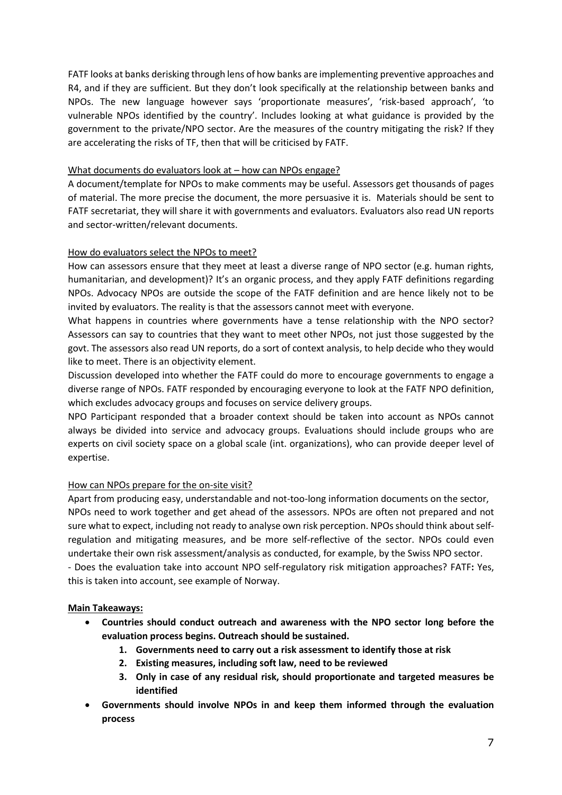FATF looks at banks derisking through lens of how banks are implementing preventive approaches and R4, and if they are sufficient. But they don't look specifically at the relationship between banks and NPOs. The new language however says 'proportionate measures', 'risk-based approach', 'to vulnerable NPOs identified by the country'. Includes looking at what guidance is provided by the government to the private/NPO sector. Are the measures of the country mitigating the risk? If they are accelerating the risks of TF, then that will be criticised by FATF.

### What documents do evaluators look at – how can NPOs engage?

A document/template for NPOs to make comments may be useful. Assessors get thousands of pages of material. The more precise the document, the more persuasive it is. Materials should be sent to FATF secretariat, they will share it with governments and evaluators. Evaluators also read UN reports and sector-written/relevant documents.

## How do evaluators select the NPOs to meet?

How can assessors ensure that they meet at least a diverse range of NPO sector (e.g. human rights, humanitarian, and development)? It's an organic process, and they apply FATF definitions regarding NPOs. Advocacy NPOs are outside the scope of the FATF definition and are hence likely not to be invited by evaluators. The reality is that the assessors cannot meet with everyone.

What happens in countries where governments have a tense relationship with the NPO sector? Assessors can say to countries that they want to meet other NPOs, not just those suggested by the govt. The assessors also read UN reports, do a sort of context analysis, to help decide who they would like to meet. There is an objectivity element.

Discussion developed into whether the FATF could do more to encourage governments to engage a diverse range of NPOs. FATF responded by encouraging everyone to look at the FATF NPO definition, which excludes advocacy groups and focuses on service delivery groups.

NPO Participant responded that a broader context should be taken into account as NPOs cannot always be divided into service and advocacy groups. Evaluations should include groups who are experts on civil society space on a global scale (int. organizations), who can provide deeper level of expertise.

# How can NPOs prepare for the on-site visit?

Apart from producing easy, understandable and not-too-long information documents on the sector, NPOs need to work together and get ahead of the assessors. NPOs are often not prepared and not sure what to expect, including not ready to analyse own risk perception. NPOs should think about selfregulation and mitigating measures, and be more self-reflective of the sector. NPOs could even undertake their own risk assessment/analysis as conducted, for example, by the Swiss NPO sector. - Does the evaluation take into account NPO self-regulatory risk mitigation approaches? FATF**:** Yes, this is taken into account, see example of Norway.

### **Main Takeaways:**

- **Countries should conduct outreach and awareness with the NPO sector long before the evaluation process begins. Outreach should be sustained.**
	- **1. Governments need to carry out a risk assessment to identify those at risk**
	- **2. Existing measures, including soft law, need to be reviewed**
	- **3. Only in case of any residual risk, should proportionate and targeted measures be identified**
- **Governments should involve NPOs in and keep them informed through the evaluation process**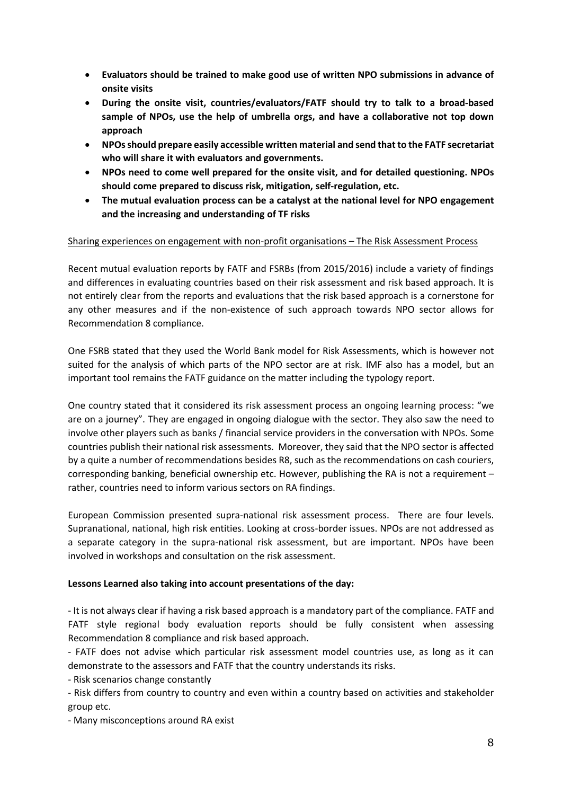- **Evaluators should be trained to make good use of written NPO submissions in advance of onsite visits**
- **During the onsite visit, countries/evaluators/FATF should try to talk to a broad-based sample of NPOs, use the help of umbrella orgs, and have a collaborative not top down approach**
- **NPOs should prepare easily accessible written material and send that to the FATF secretariat who will share it with evaluators and governments.**
- **NPOs need to come well prepared for the onsite visit, and for detailed questioning. NPOs should come prepared to discuss risk, mitigation, self-regulation, etc.**
- **The mutual evaluation process can be a catalyst at the national level for NPO engagement and the increasing and understanding of TF risks**

#### Sharing experiences on engagement with non-profit organisations – The Risk Assessment Process

Recent mutual evaluation reports by FATF and FSRBs (from 2015/2016) include a variety of findings and differences in evaluating countries based on their risk assessment and risk based approach. It is not entirely clear from the reports and evaluations that the risk based approach is a cornerstone for any other measures and if the non-existence of such approach towards NPO sector allows for Recommendation 8 compliance.

One FSRB stated that they used the World Bank model for Risk Assessments, which is however not suited for the analysis of which parts of the NPO sector are at risk. IMF also has a model, but an important tool remains the FATF guidance on the matter including the typology report.

One country stated that it considered its risk assessment process an ongoing learning process: "we are on a journey". They are engaged in ongoing dialogue with the sector. They also saw the need to involve other players such as banks / financial service providers in the conversation with NPOs. Some countries publish their national risk assessments. Moreover, they said that the NPO sector is affected by a quite a number of recommendations besides R8, such as the recommendations on cash couriers, corresponding banking, beneficial ownership etc. However, publishing the RA is not a requirement – rather, countries need to inform various sectors on RA findings.

European Commission presented supra-national risk assessment process. There are four levels. Supranational, national, high risk entities. Looking at cross-border issues. NPOs are not addressed as a separate category in the supra-national risk assessment, but are important. NPOs have been involved in workshops and consultation on the risk assessment.

### **Lessons Learned also taking into account presentations of the day:**

- It is not always clear if having a risk based approach is a mandatory part of the compliance. FATF and FATF style regional body evaluation reports should be fully consistent when assessing Recommendation 8 compliance and risk based approach.

- FATF does not advise which particular risk assessment model countries use, as long as it can demonstrate to the assessors and FATF that the country understands its risks.

- Risk scenarios change constantly

- Risk differs from country to country and even within a country based on activities and stakeholder group etc.

- Many misconceptions around RA exist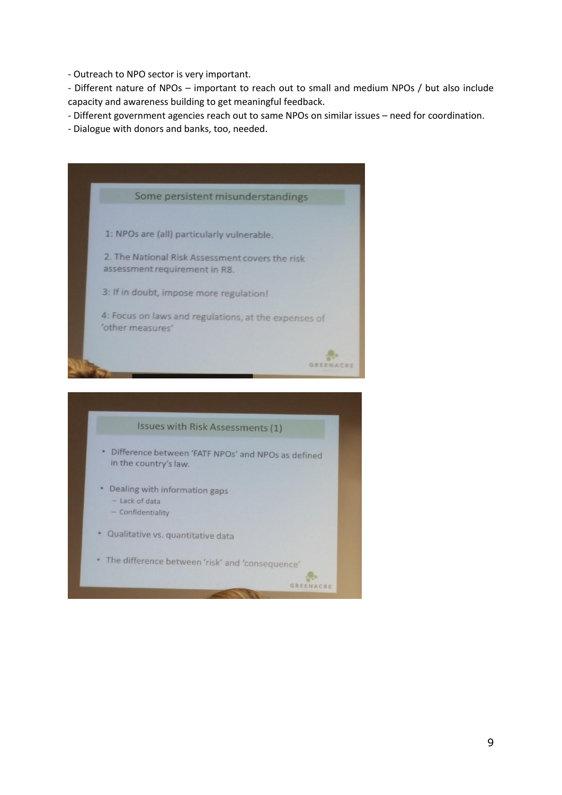- Outreach to NPO sector is very important.

- Different nature of NPOs – important to reach out to small and medium NPOs / but also include capacity and awareness building to get meaningful feedback.

- Different government agencies reach out to same NPOs on similar issues – need for coordination.

- Dialogue with donors and banks, too, needed.



- Dealing with information gaps
	- Lack of data
	- Confidentiality
- · Qualitative vs. quantitative data
- The difference between 'risk' and 'consequence'

GREENACRE